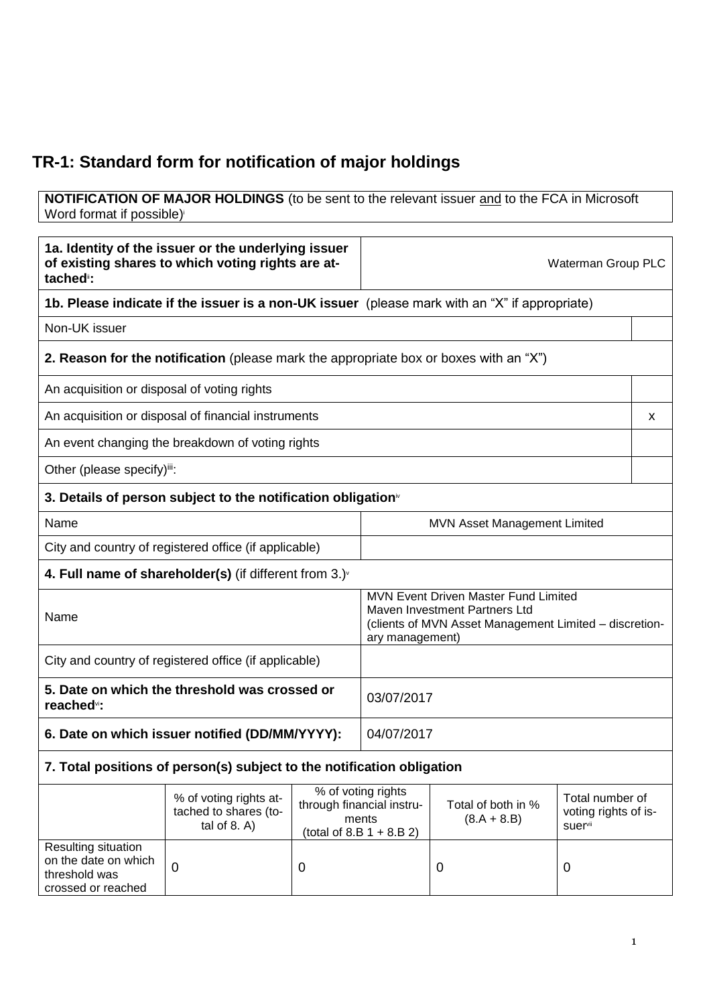## **TR-1: Standard form for notification of major holdings**

**NOTIFICATION OF MAJOR HOLDINGS** (to be sent to the relevant issuer and to the FCA in Microsoft Word format if possible)

| 1a. Identity of the issuer or the underlying issuer<br>of existing shares to which voting rights are at-<br>tached <sup>®</sup> : |                                                                                       | Waterman Group PLC |                                                                                                                                                    |                                     |                                                    |  |
|-----------------------------------------------------------------------------------------------------------------------------------|---------------------------------------------------------------------------------------|--------------------|----------------------------------------------------------------------------------------------------------------------------------------------------|-------------------------------------|----------------------------------------------------|--|
| <b>1b. Please indicate if the issuer is a non-UK issuer</b> (please mark with an "X" if appropriate)                              |                                                                                       |                    |                                                                                                                                                    |                                     |                                                    |  |
| Non-UK issuer                                                                                                                     |                                                                                       |                    |                                                                                                                                                    |                                     |                                                    |  |
|                                                                                                                                   | 2. Reason for the notification (please mark the appropriate box or boxes with an "X") |                    |                                                                                                                                                    |                                     |                                                    |  |
| An acquisition or disposal of voting rights                                                                                       |                                                                                       |                    |                                                                                                                                                    |                                     |                                                    |  |
|                                                                                                                                   | An acquisition or disposal of financial instruments                                   |                    |                                                                                                                                                    |                                     | x                                                  |  |
|                                                                                                                                   | An event changing the breakdown of voting rights                                      |                    |                                                                                                                                                    |                                     |                                                    |  |
| Other (please specify)iii:                                                                                                        |                                                                                       |                    |                                                                                                                                                    |                                     |                                                    |  |
|                                                                                                                                   | 3. Details of person subject to the notification obligation <sup>®</sup>              |                    |                                                                                                                                                    |                                     |                                                    |  |
| Name                                                                                                                              |                                                                                       |                    | MVN Asset Management Limited                                                                                                                       |                                     |                                                    |  |
|                                                                                                                                   | City and country of registered office (if applicable)                                 |                    |                                                                                                                                                    |                                     |                                                    |  |
| 4. Full name of shareholder(s) (if different from $3.$ ) $\sqrt{ }$                                                               |                                                                                       |                    |                                                                                                                                                    |                                     |                                                    |  |
| Name                                                                                                                              |                                                                                       |                    | MVN Event Driven Master Fund Limited<br>Maven Investment Partners Ltd<br>(clients of MVN Asset Management Limited - discretion-<br>ary management) |                                     |                                                    |  |
| City and country of registered office (if applicable)                                                                             |                                                                                       |                    |                                                                                                                                                    |                                     |                                                    |  |
| 5. Date on which the threshold was crossed or<br>reached <sup>vi</sup> :                                                          |                                                                                       | 03/07/2017         |                                                                                                                                                    |                                     |                                                    |  |
| 6. Date on which issuer notified (DD/MM/YYYY):                                                                                    |                                                                                       |                    | 04/07/2017                                                                                                                                         |                                     |                                                    |  |
| 7. Total positions of person(s) subject to the notification obligation                                                            |                                                                                       |                    |                                                                                                                                                    |                                     |                                                    |  |
|                                                                                                                                   | % of voting rights at-<br>tached to shares (to-<br>tal of $8. A$ )                    |                    | % of voting rights<br>through financial instru-<br>ments<br>(total of 8.B $1 + 8.B 2$ )                                                            | Total of both in %<br>$(8.A + 8.B)$ | Total number of<br>voting rights of is-<br>suervii |  |
| Resulting situation<br>on the date on which<br>threshold was<br>crossed or reached                                                | $\mathbf 0$                                                                           | 0                  |                                                                                                                                                    | 0                                   | 0                                                  |  |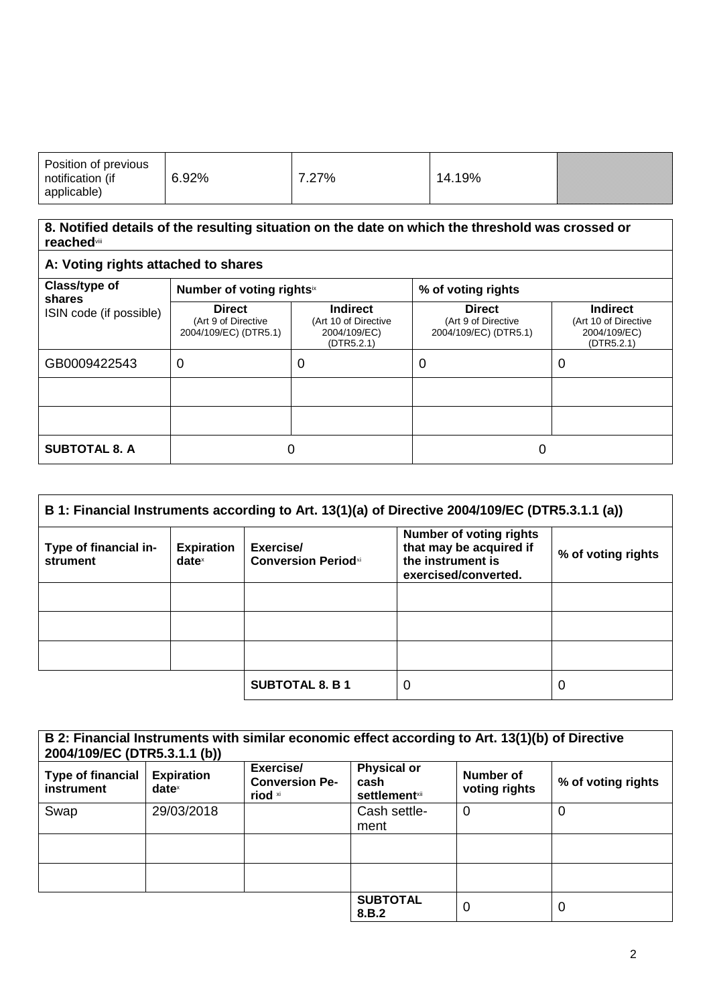| Position of previous<br>notification (if<br>applicable) | 6.92% | 27%<br>$-1$ | 19%<br>14. |  |
|---------------------------------------------------------|-------|-------------|------------|--|
|---------------------------------------------------------|-------|-------------|------------|--|

## **8. Notified details of the resulting situation on the date on which the threshold was crossed or reached**viii

## **A: Voting rights attached to shares**

| Class/type of<br>shares | Number of voting rightsix                                     |                                                                       | % of voting rights                                            |                                                                       |
|-------------------------|---------------------------------------------------------------|-----------------------------------------------------------------------|---------------------------------------------------------------|-----------------------------------------------------------------------|
| ISIN code (if possible) | <b>Direct</b><br>(Art 9 of Directive<br>2004/109/EC) (DTR5.1) | <b>Indirect</b><br>(Art 10 of Directive<br>2004/109/EC)<br>(DTR5.2.1) | <b>Direct</b><br>(Art 9 of Directive<br>2004/109/EC) (DTR5.1) | <b>Indirect</b><br>(Art 10 of Directive<br>2004/109/EC)<br>(DTR5.2.1) |
| GB0009422543            | 0                                                             | υ                                                                     | 0                                                             | O                                                                     |
|                         |                                                               |                                                                       |                                                               |                                                                       |
|                         |                                                               |                                                                       |                                                               |                                                                       |
| <b>SUBTOTAL 8. A</b>    | 0                                                             |                                                                       | 0                                                             |                                                                       |

| B 1: Financial Instruments according to Art. 13(1)(a) of Directive 2004/109/EC (DTR5.3.1.1 (a)) |                               |                                         |                                                                                                        |                    |
|-------------------------------------------------------------------------------------------------|-------------------------------|-----------------------------------------|--------------------------------------------------------------------------------------------------------|--------------------|
| Type of financial in-<br>strument                                                               | <b>Expiration</b><br>$date^x$ | Exercise/<br><b>Conversion Periodxi</b> | <b>Number of voting rights</b><br>that may be acquired if<br>the instrument is<br>exercised/converted. | % of voting rights |
|                                                                                                 |                               |                                         |                                                                                                        |                    |
|                                                                                                 |                               |                                         |                                                                                                        |                    |
|                                                                                                 |                               |                                         |                                                                                                        |                    |
|                                                                                                 |                               | <b>SUBTOTAL 8. B 1</b>                  | 0                                                                                                      | 0                  |

| B 2: Financial Instruments with similar economic effect according to Art. 13(1)(b) of Directive<br>2004/109/EC (DTR5.3.1.1 (b)) |                                        |                                               |                                                     |                            |                    |
|---------------------------------------------------------------------------------------------------------------------------------|----------------------------------------|-----------------------------------------------|-----------------------------------------------------|----------------------------|--------------------|
| <b>Type of financial</b><br>instrument                                                                                          | <b>Expiration</b><br>date <sup>x</sup> | Exercise/<br><b>Conversion Pe-</b><br>riod xi | <b>Physical or</b><br>cash<br><b>settlement</b> xii | Number of<br>voting rights | % of voting rights |
| Swap                                                                                                                            | 29/03/2018                             |                                               | Cash settle-<br>ment                                | 0                          | $\Omega$           |
|                                                                                                                                 |                                        |                                               |                                                     |                            |                    |
|                                                                                                                                 |                                        |                                               |                                                     |                            |                    |
|                                                                                                                                 |                                        |                                               | <b>SUBTOTAL</b><br>8.B.2                            | 0                          | 0                  |